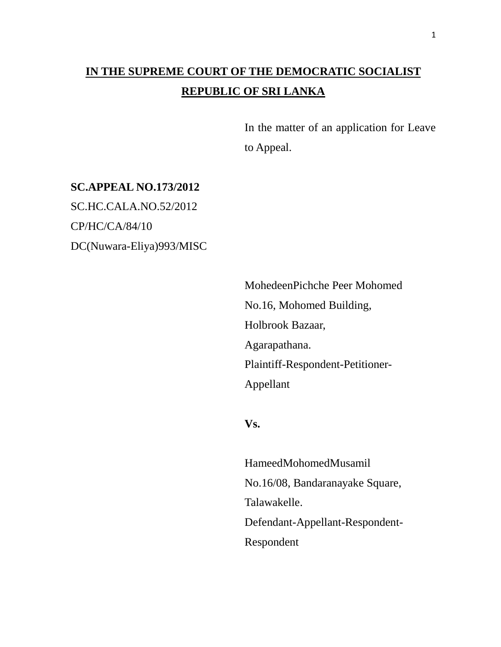## **IN THE SUPREME COURT OF THE DEMOCRATIC SOCIALIST REPUBLIC OF SRI LANKA**

In the matter of an application for Leave to Appeal.

### **SC.APPEAL NO.173/2012**

SC.HC.CALA.NO.52/2012 CP/HC/CA/84/10 DC(Nuwara-Eliya)993/MISC

> MohedeenPichche Peer Mohomed No.16, Mohomed Building, Holbrook Bazaar, Agarapathana. Plaintiff-Respondent-Petitioner-Appellant

#### **Vs.**

HameedMohomedMusamil No.16/08, Bandaranayake Square, Talawakelle. Defendant-Appellant-Respondent-Respondent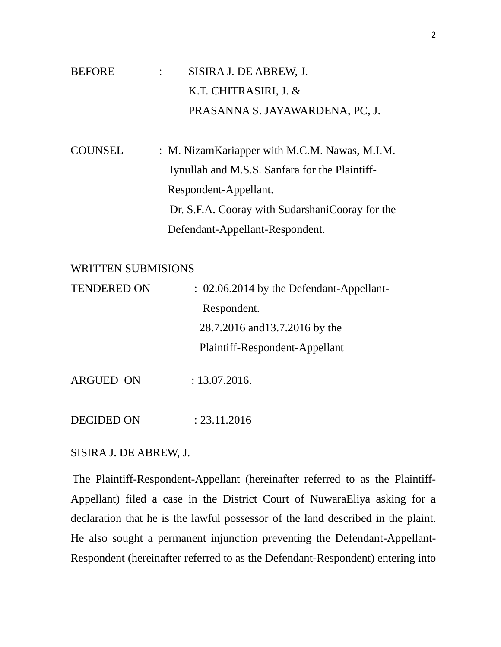## BEFORE : SISIRA J. DE ABREW, J. K.T. CHITRASIRI, J. & PRASANNA S. JAYAWARDENA, PC, J.

COUNSEL : M. NizamKariapper with M.C.M. Nawas, M.I.M. Iynullah and M.S.S. Sanfara for the Plaintiff- Respondent-Appellant. Dr. S.F.A. Cooray with SudarshaniCooray for the Defendant-Appellant-Respondent.

#### WRITTEN SUBMISIONS

| <b>TENDERED ON</b> | : 02.06.2014 by the Defendant-Appellant- |
|--------------------|------------------------------------------|
|                    | Respondent.                              |
|                    | 28.7.2016 and 13.7.2016 by the           |
|                    | Plaintiff-Respondent-Appellant           |
| <b>ARGUED ON</b>   | : 13.07.2016.                            |

DECIDED ON : 23.11.2016

#### SISIRA J. DE ABREW, J.

 The Plaintiff-Respondent-Appellant (hereinafter referred to as the Plaintiff-Appellant) filed a case in the District Court of NuwaraEliya asking for a declaration that he is the lawful possessor of the land described in the plaint. He also sought a permanent injunction preventing the Defendant-Appellant-Respondent (hereinafter referred to as the Defendant-Respondent) entering into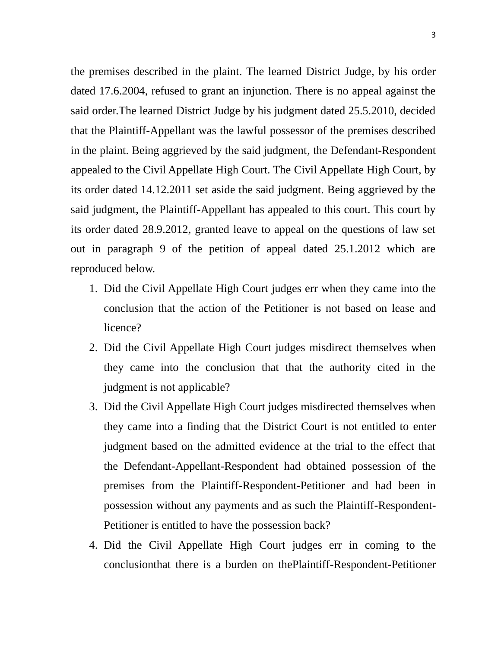the premises described in the plaint. The learned District Judge, by his order dated 17.6.2004, refused to grant an injunction. There is no appeal against the said order.The learned District Judge by his judgment dated 25.5.2010, decided that the Plaintiff-Appellant was the lawful possessor of the premises described in the plaint. Being aggrieved by the said judgment, the Defendant-Respondent appealed to the Civil Appellate High Court. The Civil Appellate High Court, by its order dated 14.12.2011 set aside the said judgment. Being aggrieved by the said judgment, the Plaintiff-Appellant has appealed to this court. This court by its order dated 28.9.2012, granted leave to appeal on the questions of law set out in paragraph 9 of the petition of appeal dated 25.1.2012 which are reproduced below.

- 1. Did the Civil Appellate High Court judges err when they came into the conclusion that the action of the Petitioner is not based on lease and licence?
- 2. Did the Civil Appellate High Court judges misdirect themselves when they came into the conclusion that that the authority cited in the judgment is not applicable?
- 3. Did the Civil Appellate High Court judges misdirected themselves when they came into a finding that the District Court is not entitled to enter judgment based on the admitted evidence at the trial to the effect that the Defendant-Appellant-Respondent had obtained possession of the premises from the Plaintiff-Respondent-Petitioner and had been in possession without any payments and as such the Plaintiff-Respondent-Petitioner is entitled to have the possession back?
- 4. Did the Civil Appellate High Court judges err in coming to the conclusionthat there is a burden on thePlaintiff-Respondent-Petitioner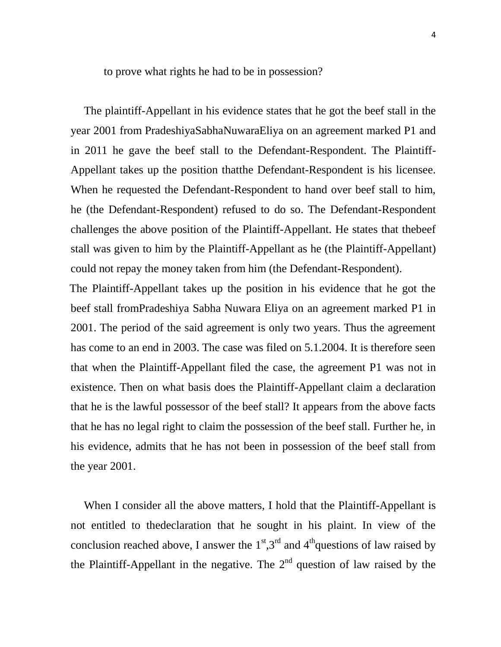to prove what rights he had to be in possession?

 The plaintiff-Appellant in his evidence states that he got the beef stall in the year 2001 from PradeshiyaSabhaNuwaraEliya on an agreement marked P1 and in 2011 he gave the beef stall to the Defendant-Respondent. The Plaintiff-Appellant takes up the position thatthe Defendant-Respondent is his licensee. When he requested the Defendant-Respondent to hand over beef stall to him, he (the Defendant-Respondent) refused to do so. The Defendant-Respondent challenges the above position of the Plaintiff-Appellant. He states that thebeef stall was given to him by the Plaintiff-Appellant as he (the Plaintiff-Appellant) could not repay the money taken from him (the Defendant-Respondent).

 The Plaintiff-Appellant takes up the position in his evidence that he got the beef stall fromPradeshiya Sabha Nuwara Eliya on an agreement marked P1 in 2001. The period of the said agreement is only two years. Thus the agreement has come to an end in 2003. The case was filed on 5.1.2004. It is therefore seen that when the Plaintiff-Appellant filed the case, the agreement P1 was not in existence. Then on what basis does the Plaintiff-Appellant claim a declaration that he is the lawful possessor of the beef stall? It appears from the above facts that he has no legal right to claim the possession of the beef stall. Further he, in his evidence, admits that he has not been in possession of the beef stall from the year 2001.

 When I consider all the above matters, I hold that the Plaintiff-Appellant is not entitled to thedeclaration that he sought in his plaint. In view of the conclusion reached above, I answer the  $1<sup>st</sup>,3<sup>rd</sup>$  and  $4<sup>th</sup>$ questions of law raised by the Plaintiff-Appellant in the negative. The  $2<sup>nd</sup>$  question of law raised by the